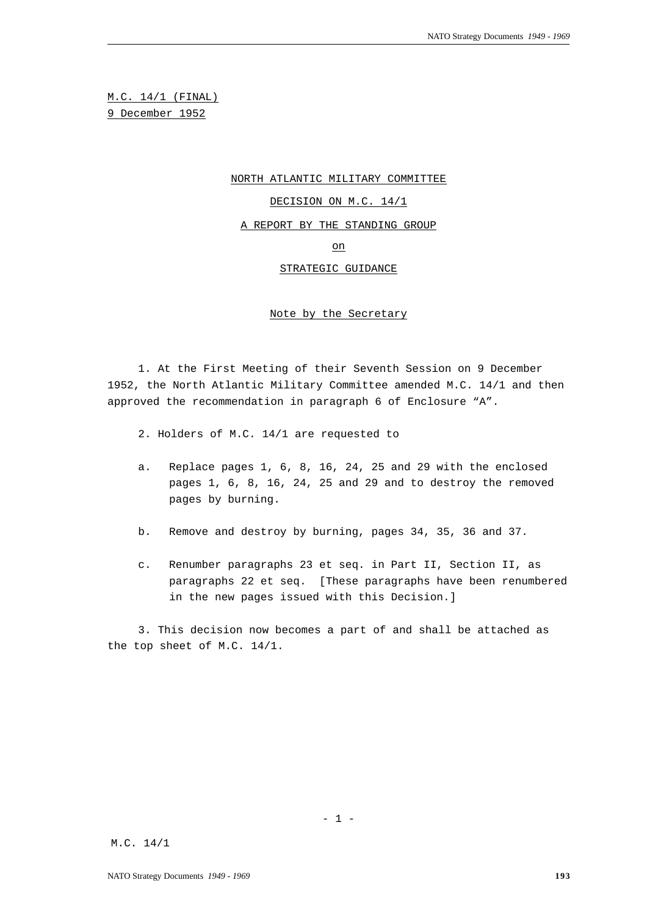M.C. 14/1 (FINAL) 9 December 1952

NORTH ATLANTIC MILITARY COMMITTEE

DECISION ON M.C. 14/1

A REPORT BY THE STANDING GROUP

on

STRATEGIC GUIDANCE

Note by the Secretary

1. At the First Meeting of their Seventh Session on 9 December 1952, the North Atlantic Military Committee amended M.C. 14/1 and then approved the recommendation in paragraph 6 of Enclosure "A".

- 2. Holders of M.C. 14/1 are requested to
- a. Replace pages 1, 6, 8, 16, 24, 25 and 29 with the enclosed pages 1, 6, 8, 16, 24, 25 and 29 and to destroy the removed pages by burning.
- b. Remove and destroy by burning, pages 34, 35, 36 and 37.
- c. Renumber paragraphs 23 et seq. in Part II, Section II, as paragraphs 22 et seq. [These paragraphs have been renumbered in the new pages issued with this Decision.]

3. This decision now becomes a part of and shall be attached as the top sheet of M.C. 14/1.

 $- 1 -$ 

M.C. 14/1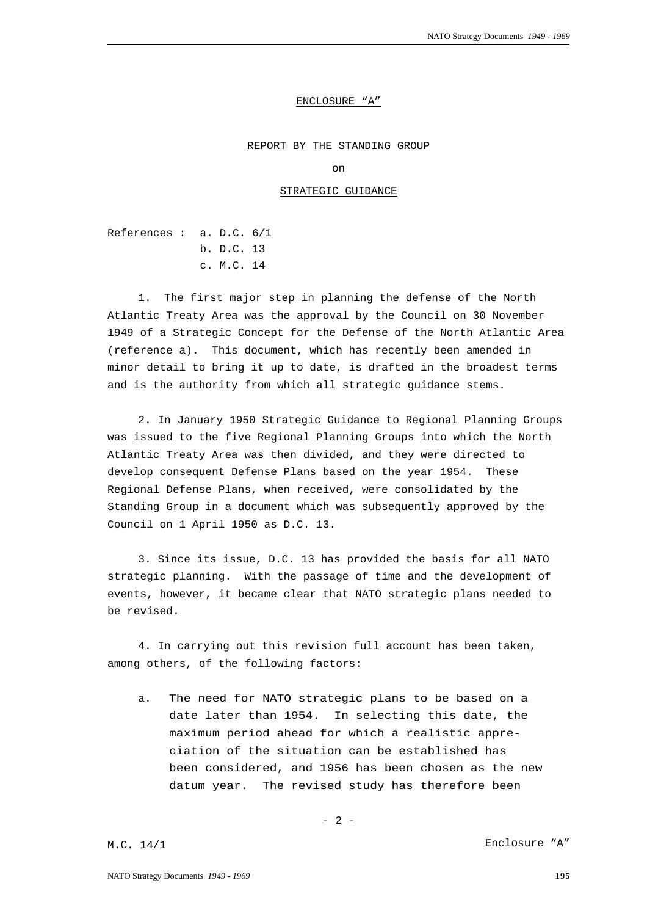### ENCLOSURE "A"

#### REPORT BY THE STANDING GROUP

on

# STRATEGIC GUIDANCE

References : a. D.C. 6/1 b. D.C. 13 c. M.C. 14

1. The first major step in planning the defense of the North Atlantic Treaty Area was the approval by the Council on 30 November 1949 of a Strategic Concept for the Defense of the North Atlantic Area (reference a). This document, which has recently been amended in minor detail to bring it up to date, is drafted in the broadest terms and is the authority from which all strategic guidance stems.

2. In January 1950 Strategic Guidance to Regional Planning Groups was issued to the five Regional Planning Groups into which the North Atlantic Treaty Area was then divided, and they were directed to develop consequent Defense Plans based on the year 1954. These Regional Defense Plans, when received, were consolidated by the Standing Group in a document which was subsequently approved by the Council on 1 April 1950 as D.C. 13.

3. Since its issue, D.C. 13 has provided the basis for all NATO strategic planning. With the passage of time and the development of events, however, it became clear that NATO strategic plans needed to be revised.

4. In carrying out this revision full account has been taken, among others, of the following factors:

a. The need for NATO strategic plans to be based on a date later than 1954. In selecting this date, the maximum period ahead for which a realistic appreciation of the situation can be established has been considered, and 1956 has been chosen as the new datum year. The revised study has therefore been

$$
-2-
$$

M.C. 14/1 Enclosure "A"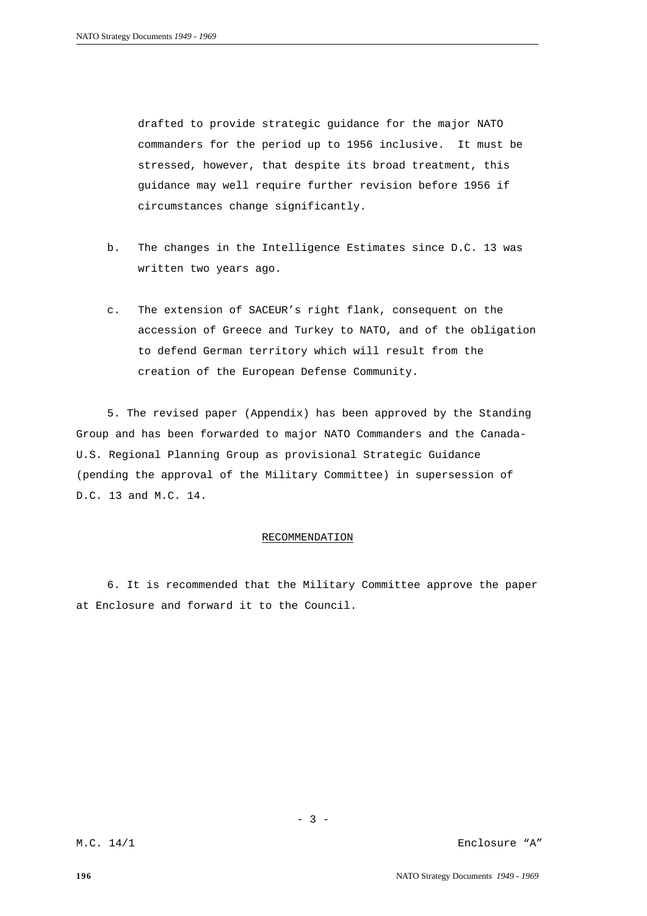drafted to provide strategic guidance for the major NATO commanders for the period up to 1956 inclusive. It must be stressed, however, that despite its broad treatment, this guidance may well require further revision before 1956 if circumstances change significantly.

- b. The changes in the Intelligence Estimates since D.C. 13 was written two years ago.
- c. The extension of SACEUR's right flank, consequent on the accession of Greece and Turkey to NATO, and of the obligation to defend German territory which will result from the creation of the European Defense Community.

5. The revised paper (Appendix) has been approved by the Standing Group and has been forwarded to major NATO Commanders and the Canada-U.S. Regional Planning Group as provisional Strategic Guidance (pending the approval of the Military Committee) in supersession of D.C. 13 and M.C. 14.

#### RECOMMENDATION

6. It is recommended that the Military Committee approve the paper at Enclosure and forward it to the Council.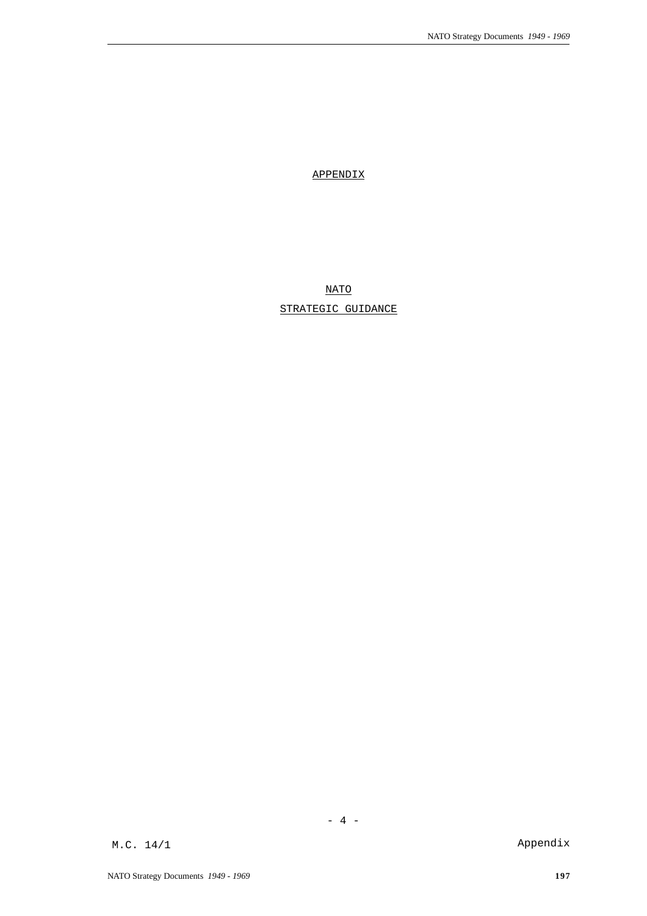APPENDIX

NATO

STRATEGIC GUIDANCE

M.C. 14/1 Appendix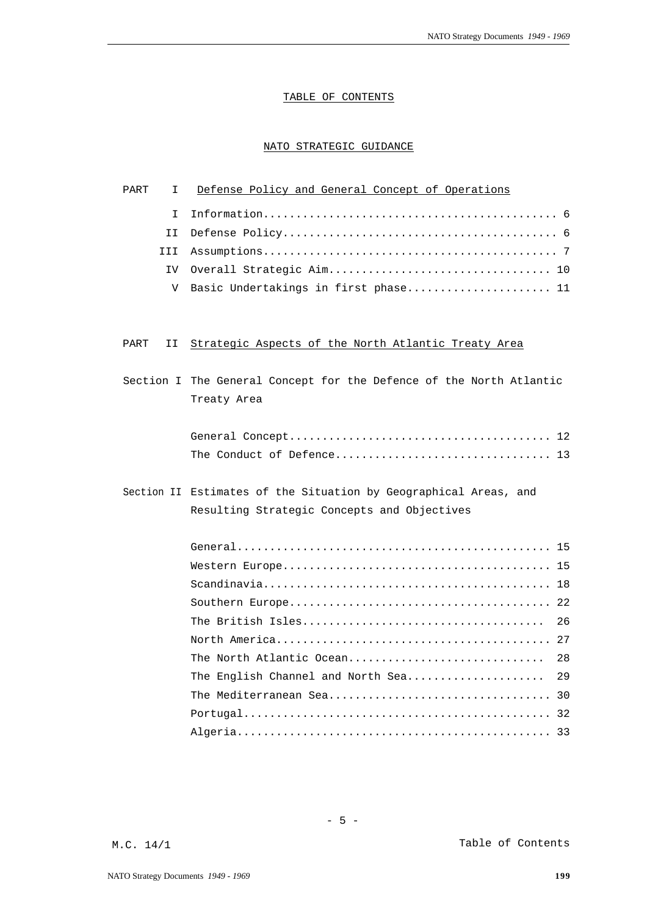# TABLE OF CONTENTS

# NATO STRATEGIC GUIDANCE

| PART | I.   | Defense Policy and General Concept of Operations                                                                |
|------|------|-----------------------------------------------------------------------------------------------------------------|
|      | T.   |                                                                                                                 |
|      | II   |                                                                                                                 |
|      | III. |                                                                                                                 |
|      | IV.  |                                                                                                                 |
|      | V    | Basic Undertakings in first phase 11                                                                            |
|      |      |                                                                                                                 |
|      |      |                                                                                                                 |
| PART | ΙI   | Strategic Aspects of the North Atlantic Treaty Area                                                             |
|      |      | Section I The General Concept for the Defence of the North Atlantic<br>Treaty Area                              |
|      |      |                                                                                                                 |
|      |      | Section II Estimates of the Situation by Geographical Areas, and<br>Resulting Strategic Concepts and Objectives |
|      |      |                                                                                                                 |
|      |      |                                                                                                                 |
|      |      |                                                                                                                 |
|      |      |                                                                                                                 |
|      |      | 26                                                                                                              |
|      |      |                                                                                                                 |
|      |      | The North Atlantic Ocean<br>28                                                                                  |
|      |      | The English Channel and North Sea<br>29                                                                         |
|      |      |                                                                                                                 |
|      |      |                                                                                                                 |

Algeria................................................ 33

 $- 5 -$ 

M.C. 14/1 Table of Contents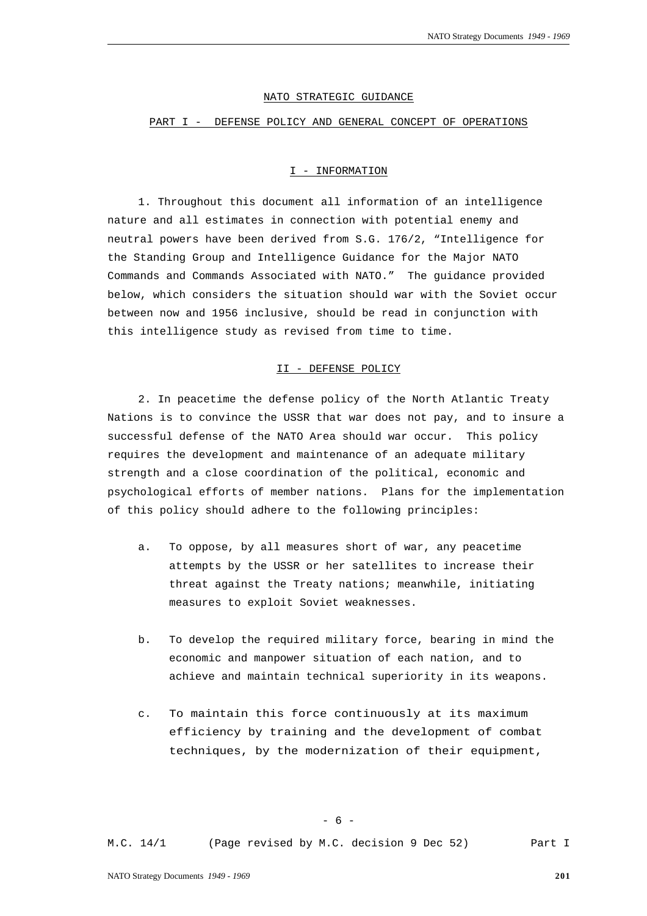#### NATO STRATEGIC GUIDANCE

#### PART I - DEFENSE POLICY AND GENERAL CONCEPT OF OPERATIONS

#### I - INFORMATION

1. Throughout this document all information of an intelligence nature and all estimates in connection with potential enemy and neutral powers have been derived from S.G. 176/2, "Intelligence for the Standing Group and Intelligence Guidance for the Major NATO Commands and Commands Associated with NATO." The guidance provided below, which considers the situation should war with the Soviet occur between now and 1956 inclusive, should be read in conjunction with this intelligence study as revised from time to time.

# II - DEFENSE POLICY

2. In peacetime the defense policy of the North Atlantic Treaty Nations is to convince the USSR that war does not pay, and to insure a successful defense of the NATO Area should war occur. This policy requires the development and maintenance of an adequate military strength and a close coordination of the political, economic and psychological efforts of member nations. Plans for the implementation of this policy should adhere to the following principles:

- a. To oppose, by all measures short of war, any peacetime attempts by the USSR or her satellites to increase their threat against the Treaty nations; meanwhile, initiating measures to exploit Soviet weaknesses.
- b. To develop the required military force, bearing in mind the economic and manpower situation of each nation, and to achieve and maintain technical superiority in its weapons.
- c. To maintain this force continuously at its maximum efficiency by training and the development of combat techniques, by the modernization of their equipment,

 $- 6 -$ 

M.C. 14/1 (Page revised by M.C. decision 9 Dec 52) Part I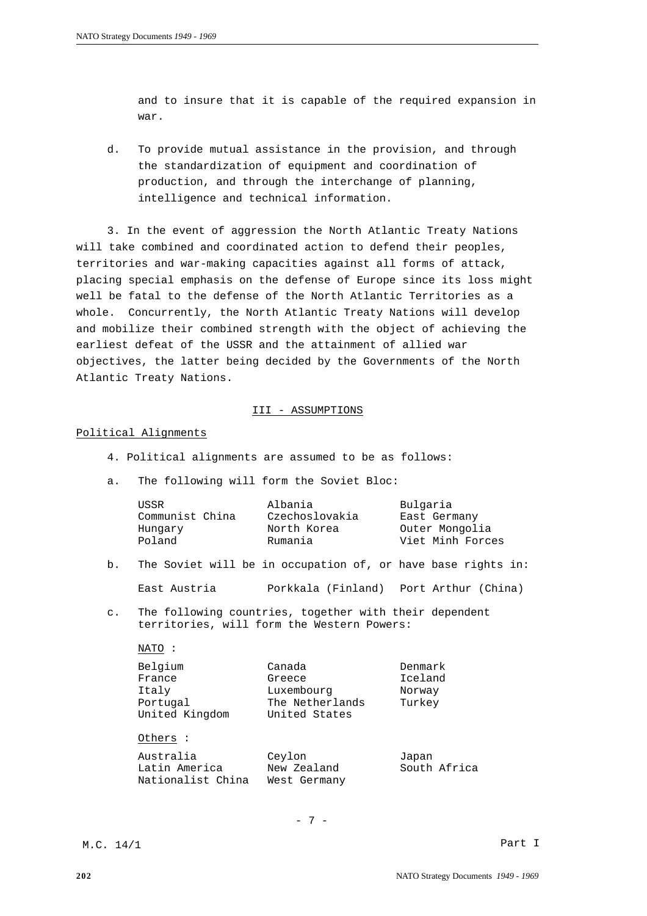and to insure that it is capable of the required expansion in war.

d. To provide mutual assistance in the provision, and through the standardization of equipment and coordination of production, and through the interchange of planning, intelligence and technical information.

3. In the event of aggression the North Atlantic Treaty Nations will take combined and coordinated action to defend their peoples, territories and war-making capacities against all forms of attack, placing special emphasis on the defense of Europe since its loss might well be fatal to the defense of the North Atlantic Territories as a whole. Concurrently, the North Atlantic Treaty Nations will develop and mobilize their combined strength with the object of achieving the earliest defeat of the USSR and the attainment of allied war objectives, the latter being decided by the Governments of the North Atlantic Treaty Nations.

# III - ASSUMPTIONS

# Political Alignments

- 4. Political alignments are assumed to be as follows:
- a. The following will form the Soviet Bloc:

Nationalist China West Germany

| USSR            | Albania        | Bulgaria         |
|-----------------|----------------|------------------|
| Communist China | Czechoslovakia | East Germany     |
| Hungary         | North Korea    | Outer Mongolia   |
| Poland          | Rumania        | Viet Minh Forces |

b. The Soviet will be in occupation of, or have base rights in:

East Austria Porkkala (Finland) Port Arthur (China)

c. The following countries, together with their dependent territories, will form the Western Powers:

|  | × |  |
|--|---|--|
|  |   |  |

| Belgium        | Canada          | Denmark      |  |
|----------------|-----------------|--------------|--|
| France         | Greece          | Iceland      |  |
| Italy          | Luxembourg      | Norway       |  |
| Portugal       | The Netherlands | Turkey       |  |
| United Kingdom | United States   |              |  |
| Others :       |                 |              |  |
| Australia      | Ceylon          | Japan        |  |
| Latin America  | New Zealand     | South Africa |  |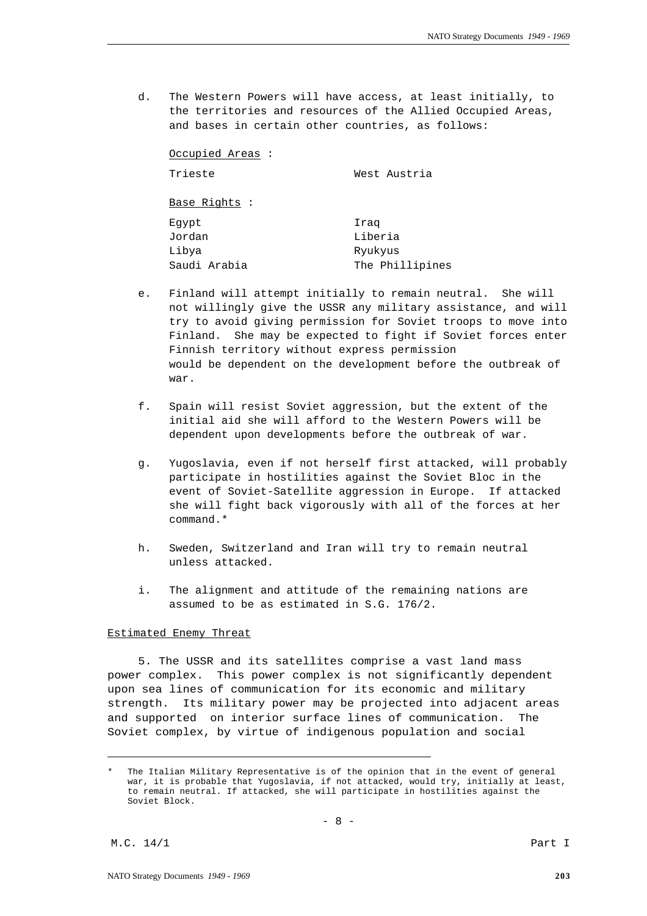d. The Western Powers will have access, at least initially, to the territories and resources of the Allied Occupied Areas, and bases in certain other countries, as follows:

| Occupied Areas: |                 |  |  |  |
|-----------------|-----------------|--|--|--|
| Trieste         | West Austria    |  |  |  |
| Base Rights :   |                 |  |  |  |
| Eqypt           | Iraq            |  |  |  |
| Jordan          | Liberia         |  |  |  |
| Libya           | Ryukyus         |  |  |  |
| Saudi Arabia    | The Phillipines |  |  |  |

- e. Finland will attempt initially to remain neutral. She will not willingly give the USSR any military assistance, and will try to avoid giving permission for Soviet troops to move into Finland. She may be expected to fight if Soviet forces enter Finnish territory without express permission would be dependent on the development before the outbreak of war.
- f. Spain will resist Soviet aggression, but the extent of the initial aid she will afford to the Western Powers will be dependent upon developments before the outbreak of war.
- g. Yugoslavia, even if not herself first attacked, will probably participate in hostilities against the Soviet Bloc in the event of Soviet-Satellite aggression in Europe. If attacked she will fight back vigorously with all of the forces at her command.\*
- h. Sweden, Switzerland and Iran will try to remain neutral unless attacked.
- i. The alignment and attitude of the remaining nations are assumed to be as estimated in S.G. 176/2.

# Estimated Enemy Threat

5. The USSR and its satellites comprise a vast land mass power complex. This power complex is not significantly dependent upon sea lines of communication for its economic and military strength. Its military power may be projected into adjacent areas and supported on interior surface lines of communication. The Soviet complex, by virtue of indigenous population and social

The Italian Military Representative is of the opinion that in the event of general war, it is probable that Yugoslavia, if not attacked, would try, initially at least, to remain neutral. If attacked, she will participate in hostilities against the Soviet Block.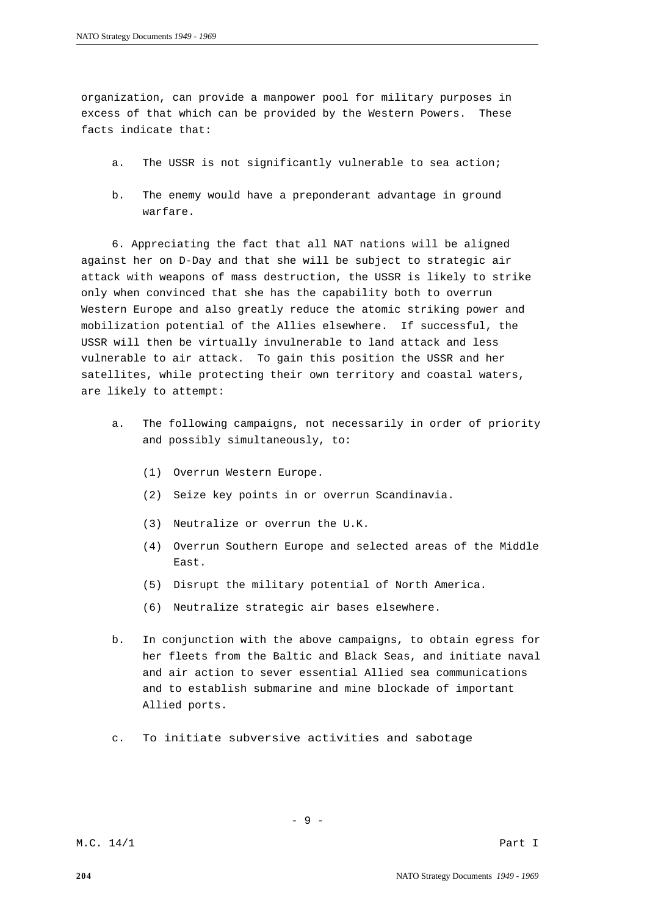organization, can provide a manpower pool for military purposes in excess of that which can be provided by the Western Powers. These facts indicate that:

- a. The USSR is not significantly vulnerable to sea action;
- b. The enemy would have a preponderant advantage in ground warfare.

6. Appreciating the fact that all NAT nations will be aligned against her on D-Day and that she will be subject to strategic air attack with weapons of mass destruction, the USSR is likely to strike only when convinced that she has the capability both to overrun Western Europe and also greatly reduce the atomic striking power and mobilization potential of the Allies elsewhere. If successful, the USSR will then be virtually invulnerable to land attack and less vulnerable to air attack. To gain this position the USSR and her satellites, while protecting their own territory and coastal waters, are likely to attempt:

- a. The following campaigns, not necessarily in order of priority and possibly simultaneously, to:
	- (1) Overrun Western Europe.
	- (2) Seize key points in or overrun Scandinavia.
	- (3) Neutralize or overrun the U.K.
	- (4) Overrun Southern Europe and selected areas of the Middle East.
	- (5) Disrupt the military potential of North America.
	- (6) Neutralize strategic air bases elsewhere.
- b. In conjunction with the above campaigns, to obtain egress for her fleets from the Baltic and Black Seas, and initiate naval and air action to sever essential Allied sea communications and to establish submarine and mine blockade of important Allied ports.
- c. To initiate subversive activities and sabotage

- 9 -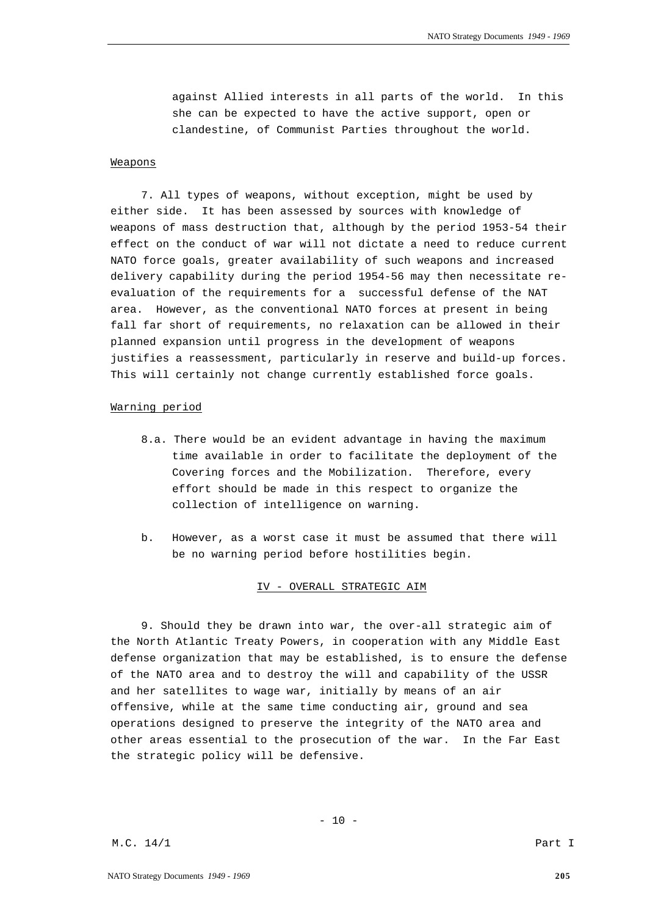against Allied interests in all parts of the world. In this she can be expected to have the active support, open or clandestine, of Communist Parties throughout the world.

# Weapons

7. All types of weapons, without exception, might be used by either side. It has been assessed by sources with knowledge of weapons of mass destruction that, although by the period 1953-54 their effect on the conduct of war will not dictate a need to reduce current NATO force goals, greater availability of such weapons and increased delivery capability during the period 1954-56 may then necessitate reevaluation of the requirements for a successful defense of the NAT area. However, as the conventional NATO forces at present in being fall far short of requirements, no relaxation can be allowed in their planned expansion until progress in the development of weapons justifies a reassessment, particularly in reserve and build-up forces. This will certainly not change currently established force goals.

#### Warning period

- 8.a. There would be an evident advantage in having the maximum time available in order to facilitate the deployment of the Covering forces and the Mobilization. Therefore, every effort should be made in this respect to organize the collection of intelligence on warning.
- b. However, as a worst case it must be assumed that there will be no warning period before hostilities begin.

# IV - OVERALL STRATEGIC AIM

9. Should they be drawn into war, the over-all strategic aim of the North Atlantic Treaty Powers, in cooperation with any Middle East defense organization that may be established, is to ensure the defense of the NATO area and to destroy the will and capability of the USSR and her satellites to wage war, initially by means of an air offensive, while at the same time conducting air, ground and sea operations designed to preserve the integrity of the NATO area and other areas essential to the prosecution of the war. In the Far East the strategic policy will be defensive.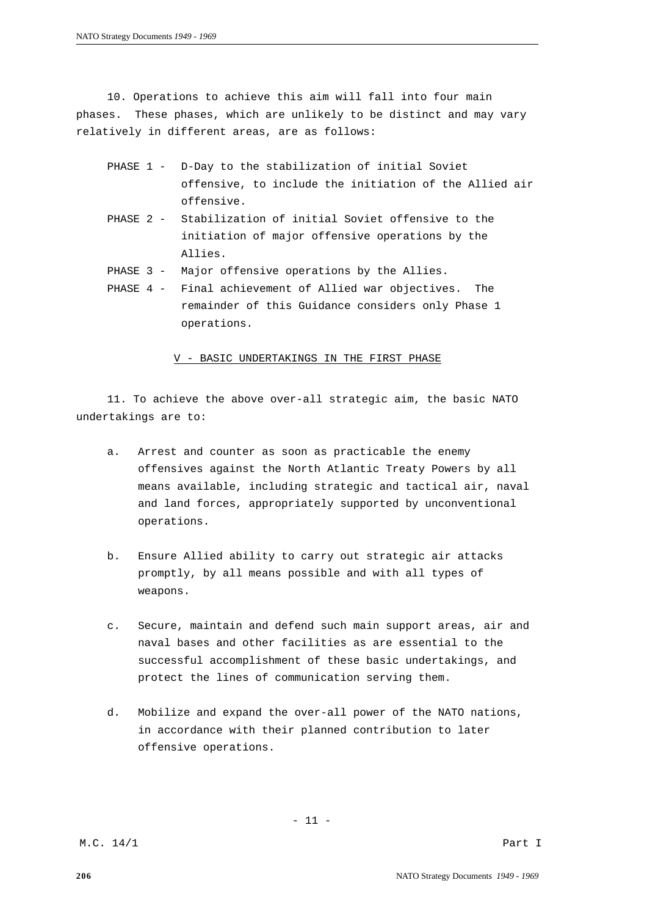10. Operations to achieve this aim will fall into four main phases. These phases, which are unlikely to be distinct and may vary relatively in different areas, are as follows:

- PHASE 1 D-Day to the stabilization of initial Soviet offensive, to include the initiation of the Allied air offensive.
- PHASE 2 Stabilization of initial Soviet offensive to the initiation of major offensive operations by the Allies.
- PHASE 3 Major offensive operations by the Allies.
- PHASE 4 Final achievement of Allied war objectives. The remainder of this Guidance considers only Phase 1 operations.

V - BASIC UNDERTAKINGS IN THE FIRST PHASE

11. To achieve the above over-all strategic aim, the basic NATO undertakings are to:

- a. Arrest and counter as soon as practicable the enemy offensives against the North Atlantic Treaty Powers by all means available, including strategic and tactical air, naval and land forces, appropriately supported by unconventional operations.
- b. Ensure Allied ability to carry out strategic air attacks promptly, by all means possible and with all types of weapons.
- c. Secure, maintain and defend such main support areas, air and naval bases and other facilities as are essential to the successful accomplishment of these basic undertakings, and protect the lines of communication serving them.
- d. Mobilize and expand the over-all power of the NATO nations, in accordance with their planned contribution to later offensive operations.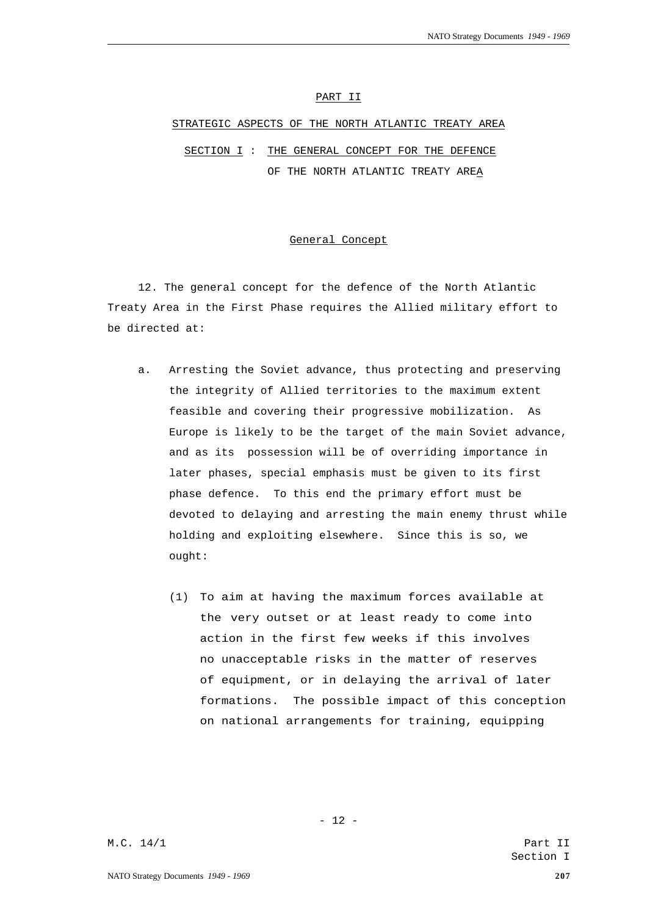### PART II

## STRATEGIC ASPECTS OF THE NORTH ATLANTIC TREATY AREA

SECTION I : THE GENERAL CONCEPT FOR THE DEFENCE OF THE NORTH ATLANTIC TREATY AREA

#### General Concept

12. The general concept for the defence of the North Atlantic Treaty Area in the First Phase requires the Allied military effort to be directed at:

- a. Arresting the Soviet advance, thus protecting and preserving the integrity of Allied territories to the maximum extent feasible and covering their progressive mobilization. As Europe is likely to be the target of the main Soviet advance, and as its possession will be of overriding importance in later phases, special emphasis must be given to its first phase defence. To this end the primary effort must be devoted to delaying and arresting the main enemy thrust while holding and exploiting elsewhere. Since this is so, we ought:
	- (1) To aim at having the maximum forces available at the very outset or at least ready to come into action in the first few weeks if this involves no unacceptable risks in the matter of reserves of equipment, or in delaying the arrival of later formations. The possible impact of this conception on national arrangements for training, equipping

- 12 -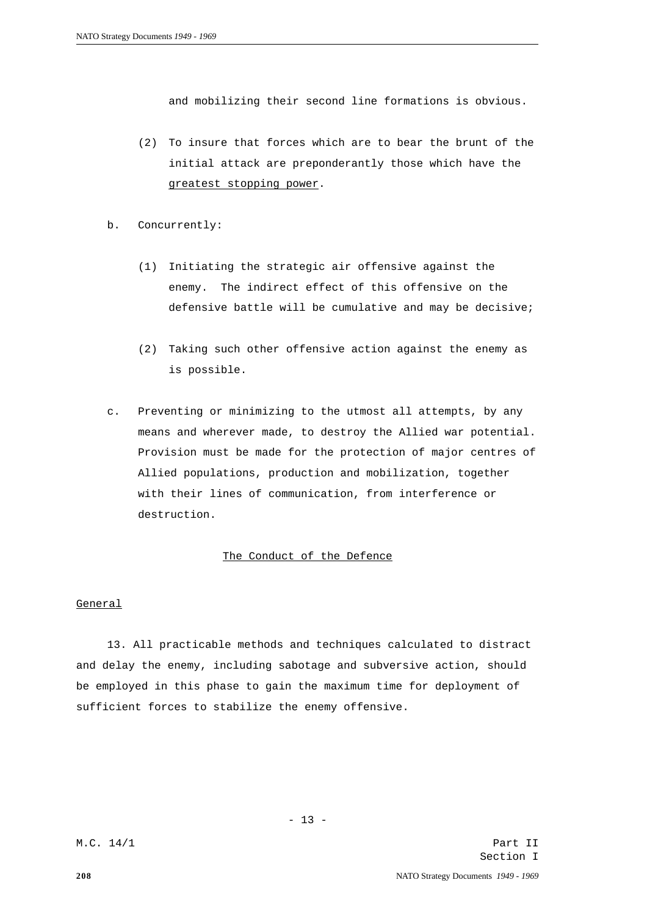and mobilizing their second line formations is obvious.

- (2) To insure that forces which are to bear the brunt of the initial attack are preponderantly those which have the greatest stopping power.
- b. Concurrently:
	- (1) Initiating the strategic air offensive against the enemy. The indirect effect of this offensive on the defensive battle will be cumulative and may be decisive;
	- (2) Taking such other offensive action against the enemy as is possible.
- c. Preventing or minimizing to the utmost all attempts, by any means and wherever made, to destroy the Allied war potential. Provision must be made for the protection of major centres of Allied populations, production and mobilization, together with their lines of communication, from interference or destruction.

# The Conduct of the Defence

# General

13. All practicable methods and techniques calculated to distract and delay the enemy, including sabotage and subversive action, should be employed in this phase to gain the maximum time for deployment of sufficient forces to stabilize the enemy offensive.

 $- 13 -$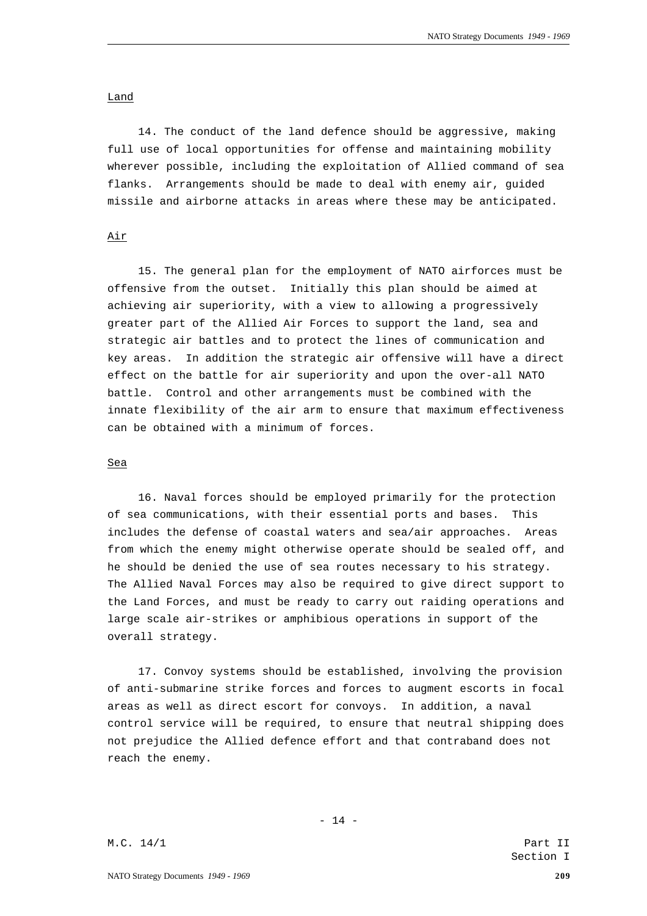### Land

14. The conduct of the land defence should be aggressive, making full use of local opportunities for offense and maintaining mobility wherever possible, including the exploitation of Allied command of sea flanks. Arrangements should be made to deal with enemy air, guided missile and airborne attacks in areas where these may be anticipated.

# Air

15. The general plan for the employment of NATO airforces must be offensive from the outset. Initially this plan should be aimed at achieving air superiority, with a view to allowing a progressively greater part of the Allied Air Forces to support the land, sea and strategic air battles and to protect the lines of communication and key areas. In addition the strategic air offensive will have a direct effect on the battle for air superiority and upon the over-all NATO battle. Control and other arrangements must be combined with the innate flexibility of the air arm to ensure that maximum effectiveness can be obtained with a minimum of forces.

#### Sea

16. Naval forces should be employed primarily for the protection of sea communications, with their essential ports and bases. This includes the defense of coastal waters and sea/air approaches. Areas from which the enemy might otherwise operate should be sealed off, and he should be denied the use of sea routes necessary to his strategy. The Allied Naval Forces may also be required to give direct support to the Land Forces, and must be ready to carry out raiding operations and large scale air-strikes or amphibious operations in support of the overall strategy.

17. Convoy systems should be established, involving the provision of anti-submarine strike forces and forces to augment escorts in focal areas as well as direct escort for convoys. In addition, a naval control service will be required, to ensure that neutral shipping does not prejudice the Allied defence effort and that contraband does not reach the enemy.

- 14 -

M.C. 14/1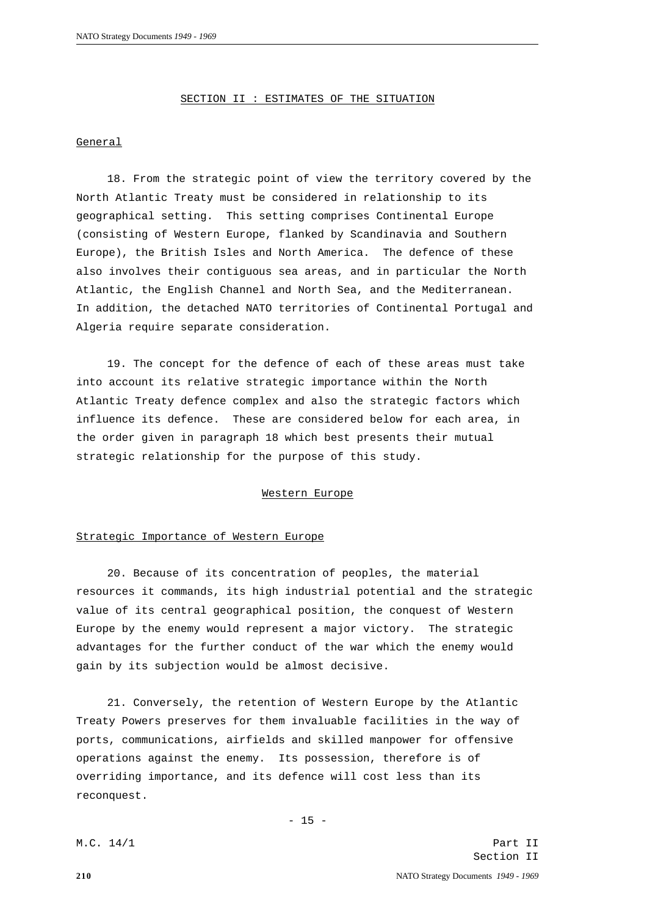SECTION II : ESTIMATES OF THE SITUATION

### General

18. From the strategic point of view the territory covered by the North Atlantic Treaty must be considered in relationship to its geographical setting. This setting comprises Continental Europe (consisting of Western Europe, flanked by Scandinavia and Southern Europe), the British Isles and North America. The defence of these also involves their contiguous sea areas, and in particular the North Atlantic, the English Channel and North Sea, and the Mediterranean. In addition, the detached NATO territories of Continental Portugal and Algeria require separate consideration.

19. The concept for the defence of each of these areas must take into account its relative strategic importance within the North Atlantic Treaty defence complex and also the strategic factors which influence its defence. These are considered below for each area, in the order given in paragraph 18 which best presents their mutual strategic relationship for the purpose of this study.

# Western Europe

### Strategic Importance of Western Europe

20. Because of its concentration of peoples, the material resources it commands, its high industrial potential and the strategic value of its central geographical position, the conquest of Western Europe by the enemy would represent a major victory. The strategic advantages for the further conduct of the war which the enemy would gain by its subjection would be almost decisive.

21. Conversely, the retention of Western Europe by the Atlantic Treaty Powers preserves for them invaluable facilities in the way of ports, communications, airfields and skilled manpower for offensive operations against the enemy. Its possession, therefore is of overriding importance, and its defence will cost less than its reconquest.

 $- 15 -$ 

M.C. 14/1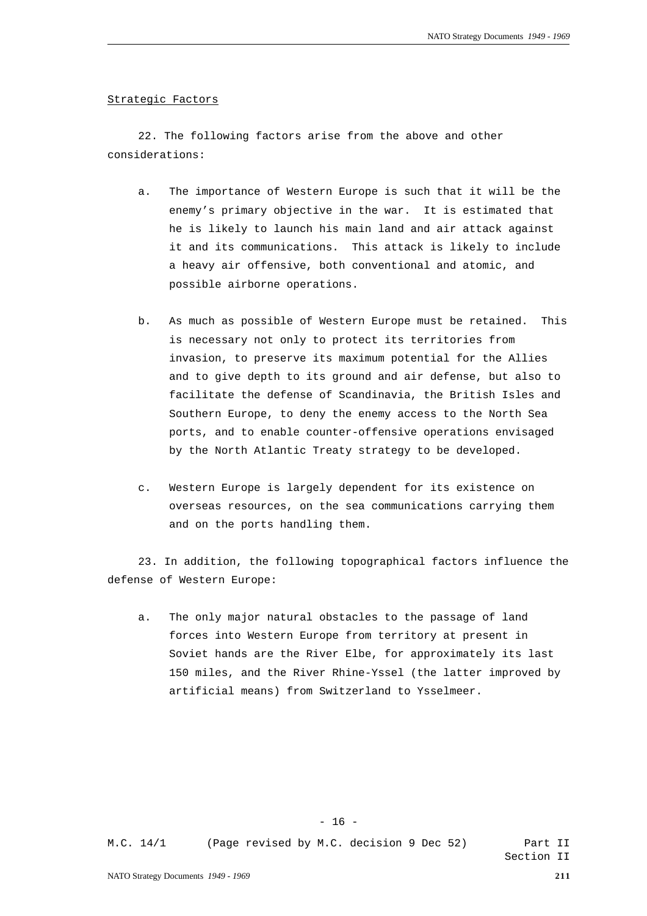#### Strategic Factors

22. The following factors arise from the above and other considerations:

- a. The importance of Western Europe is such that it will be the enemy's primary objective in the war. It is estimated that he is likely to launch his main land and air attack against it and its communications. This attack is likely to include a heavy air offensive, both conventional and atomic, and possible airborne operations.
- b. As much as possible of Western Europe must be retained. This is necessary not only to protect its territories from invasion, to preserve its maximum potential for the Allies and to give depth to its ground and air defense, but also to facilitate the defense of Scandinavia, the British Isles and Southern Europe, to deny the enemy access to the North Sea ports, and to enable counter-offensive operations envisaged by the North Atlantic Treaty strategy to be developed.
- c. Western Europe is largely dependent for its existence on overseas resources, on the sea communications carrying them and on the ports handling them.

23. In addition, the following topographical factors influence the defense of Western Europe:

a. The only major natural obstacles to the passage of land forces into Western Europe from territory at present in Soviet hands are the River Elbe, for approximately its last 150 miles, and the River Rhine-Yssel (the latter improved by artificial means) from Switzerland to Ysselmeer.

 $- 16 -$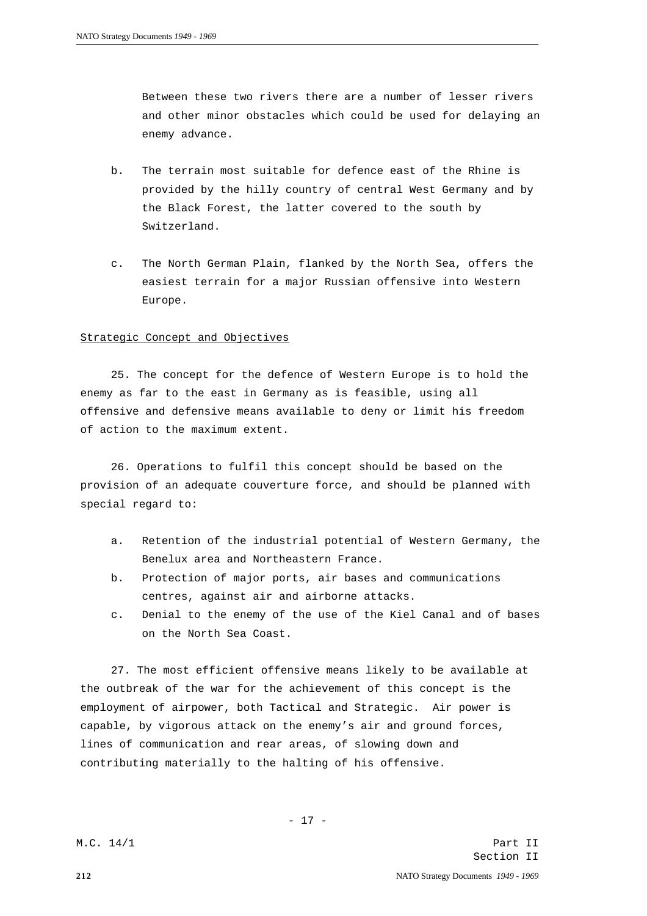Between these two rivers there are a number of lesser rivers and other minor obstacles which could be used for delaying an enemy advance.

- b. The terrain most suitable for defence east of the Rhine is provided by the hilly country of central West Germany and by the Black Forest, the latter covered to the south by Switzerland.
- c. The North German Plain, flanked by the North Sea, offers the easiest terrain for a major Russian offensive into Western Europe.

## Strategic Concept and Objectives

25. The concept for the defence of Western Europe is to hold the enemy as far to the east in Germany as is feasible, using all offensive and defensive means available to deny or limit his freedom of action to the maximum extent.

26. Operations to fulfil this concept should be based on the provision of an adequate couverture force, and should be planned with special regard to:

- a. Retention of the industrial potential of Western Germany, the Benelux area and Northeastern France.
- b. Protection of major ports, air bases and communications centres, against air and airborne attacks.
- c. Denial to the enemy of the use of the Kiel Canal and of bases on the North Sea Coast.

27. The most efficient offensive means likely to be available at the outbreak of the war for the achievement of this concept is the employment of airpower, both Tactical and Strategic. Air power is capable, by vigorous attack on the enemy's air and ground forces, lines of communication and rear areas, of slowing down and contributing materially to the halting of his offensive.

- 17 -

M.C. 14/1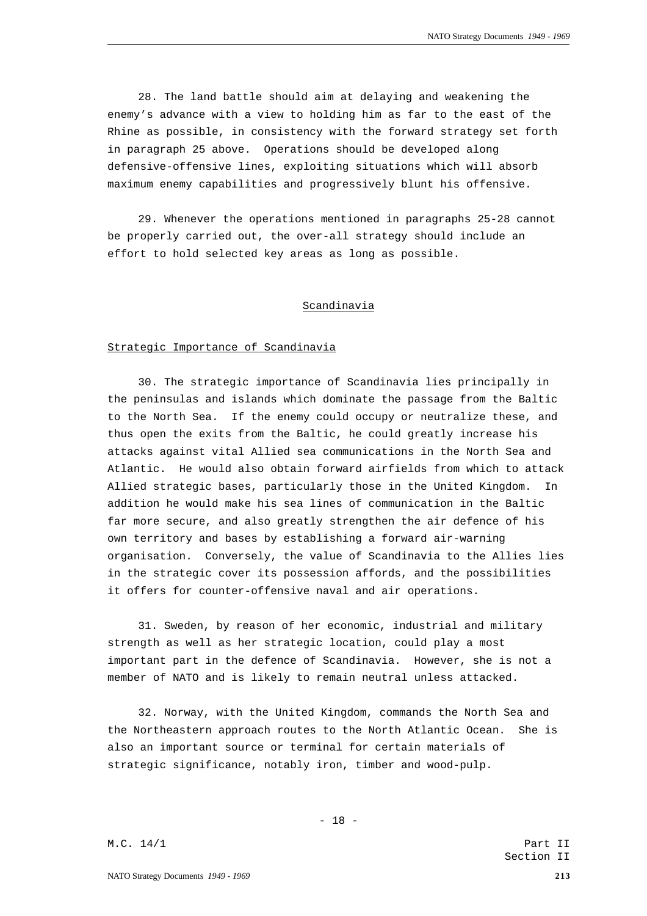28. The land battle should aim at delaying and weakening the enemy's advance with a view to holding him as far to the east of the Rhine as possible, in consistency with the forward strategy set forth in paragraph 25 above. Operations should be developed along defensive-offensive lines, exploiting situations which will absorb maximum enemy capabilities and progressively blunt his offensive.

29. Whenever the operations mentioned in paragraphs 25-28 cannot be properly carried out, the over-all strategy should include an effort to hold selected key areas as long as possible.

### Scandinavia

#### Strategic Importance of Scandinavia

30. The strategic importance of Scandinavia lies principally in the peninsulas and islands which dominate the passage from the Baltic to the North Sea. If the enemy could occupy or neutralize these, and thus open the exits from the Baltic, he could greatly increase his attacks against vital Allied sea communications in the North Sea and Atlantic. He would also obtain forward airfields from which to attack Allied strategic bases, particularly those in the United Kingdom. In addition he would make his sea lines of communication in the Baltic far more secure, and also greatly strengthen the air defence of his own territory and bases by establishing a forward air-warning organisation. Conversely, the value of Scandinavia to the Allies lies in the strategic cover its possession affords, and the possibilities it offers for counter-offensive naval and air operations.

31. Sweden, by reason of her economic, industrial and military strength as well as her strategic location, could play a most important part in the defence of Scandinavia. However, she is not a member of NATO and is likely to remain neutral unless attacked.

32. Norway, with the United Kingdom, commands the North Sea and the Northeastern approach routes to the North Atlantic Ocean. She is also an important source or terminal for certain materials of strategic significance, notably iron, timber and wood-pulp.

- 18 -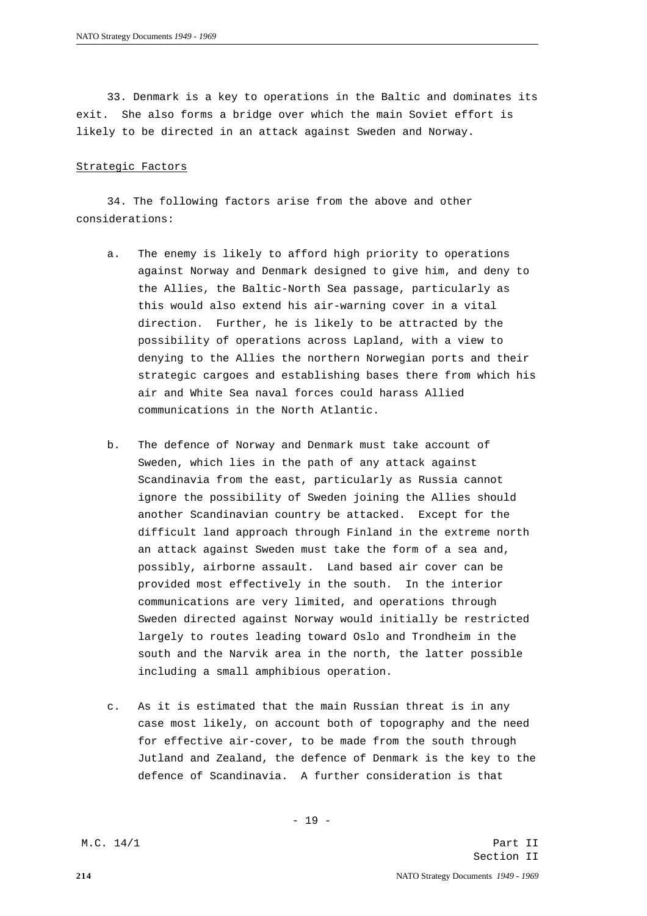33. Denmark is a key to operations in the Baltic and dominates its exit. She also forms a bridge over which the main Soviet effort is likely to be directed in an attack against Sweden and Norway.

#### Strategic Factors

34. The following factors arise from the above and other considerations:

- a. The enemy is likely to afford high priority to operations against Norway and Denmark designed to give him, and deny to the Allies, the Baltic-North Sea passage, particularly as this would also extend his air-warning cover in a vital direction. Further, he is likely to be attracted by the possibility of operations across Lapland, with a view to denying to the Allies the northern Norwegian ports and their strategic cargoes and establishing bases there from which his air and White Sea naval forces could harass Allied communications in the North Atlantic.
- b. The defence of Norway and Denmark must take account of Sweden, which lies in the path of any attack against Scandinavia from the east, particularly as Russia cannot ignore the possibility of Sweden joining the Allies should another Scandinavian country be attacked. Except for the difficult land approach through Finland in the extreme north an attack against Sweden must take the form of a sea and, possibly, airborne assault. Land based air cover can be provided most effectively in the south. In the interior communications are very limited, and operations through Sweden directed against Norway would initially be restricted largely to routes leading toward Oslo and Trondheim in the south and the Narvik area in the north, the latter possible including a small amphibious operation.
- c. As it is estimated that the main Russian threat is in any case most likely, on account both of topography and the need for effective air-cover, to be made from the south through Jutland and Zealand, the defence of Denmark is the key to the defence of Scandinavia. A further consideration is that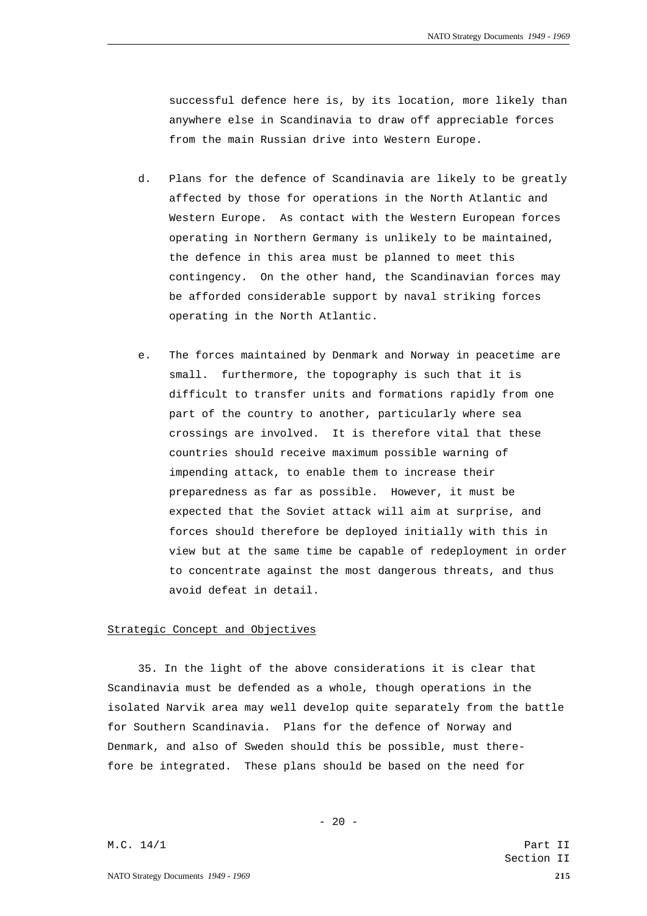successful defence here is, by its location, more likely than anywhere else in Scandinavia to draw off appreciable forces from the main Russian drive into Western Europe.

- d. Plans for the defence of Scandinavia are likely to be greatly affected by those for operations in the North Atlantic and Western Europe. As contact with the Western European forces operating in Northern Germany is unlikely to be maintained, the defence in this area must be planned to meet this contingency. On the other hand, the Scandinavian forces may be afforded considerable support by naval striking forces operating in the North Atlantic.
- e. The forces maintained by Denmark and Norway in peacetime are small. furthermore, the topography is such that it is difficult to transfer units and formations rapidly from one part of the country to another, particularly where sea crossings are involved. It is therefore vital that these countries should receive maximum possible warning of impending attack, to enable them to increase their preparedness as far as possible. However, it must be expected that the Soviet attack will aim at surprise, and forces should therefore be deployed initially with this in view but at the same time be capable of redeployment in order to concentrate against the most dangerous threats, and thus avoid defeat in detail.

# Strategic Concept and Objectives

35. In the light of the above considerations it is clear that Scandinavia must be defended as a whole, though operations in the isolated Narvik area may well develop quite separately from the battle for Southern Scandinavia. Plans for the defence of Norway and Denmark, and also of Sweden should this be possible, must therefore be integrated. These plans should be based on the need for

 $- 20 -$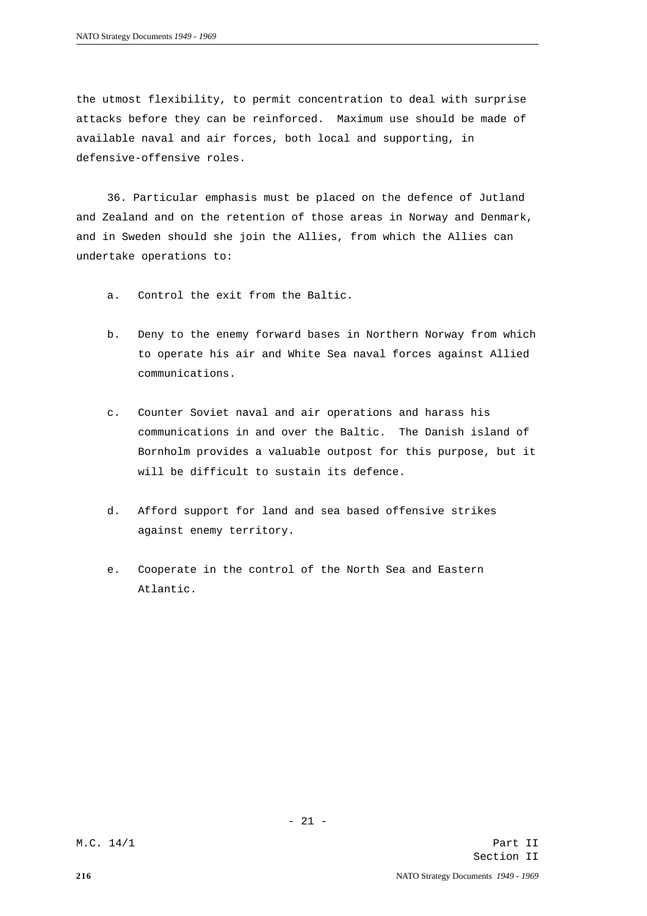the utmost flexibility, to permit concentration to deal with surprise attacks before they can be reinforced. Maximum use should be made of available naval and air forces, both local and supporting, in defensive-offensive roles.

36. Particular emphasis must be placed on the defence of Jutland and Zealand and on the retention of those areas in Norway and Denmark, and in Sweden should she join the Allies, from which the Allies can undertake operations to:

- a. Control the exit from the Baltic.
- b. Deny to the enemy forward bases in Northern Norway from which to operate his air and White Sea naval forces against Allied communications.
- c. Counter Soviet naval and air operations and harass his communications in and over the Baltic. The Danish island of Bornholm provides a valuable outpost for this purpose, but it will be difficult to sustain its defence.
- d. Afford support for land and sea based offensive strikes against enemy territory.
- e. Cooperate in the control of the North Sea and Eastern Atlantic.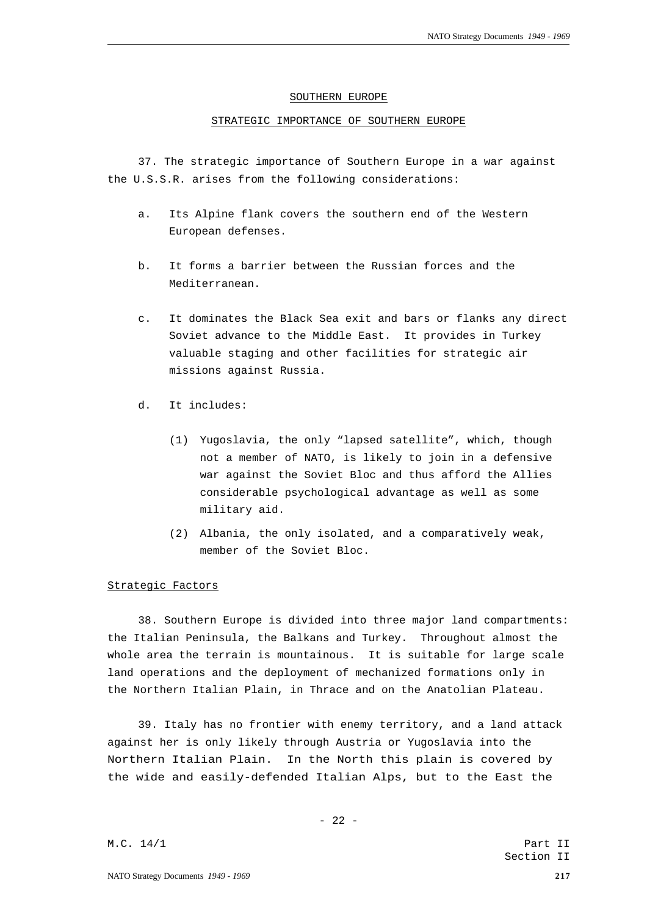#### SOUTHERN EUROPE

### STRATEGIC IMPORTANCE OF SOUTHERN EUROPE

37. The strategic importance of Southern Europe in a war against the U.S.S.R. arises from the following considerations:

- a. Its Alpine flank covers the southern end of the Western European defenses.
- b. It forms a barrier between the Russian forces and the Mediterranean.
- c. It dominates the Black Sea exit and bars or flanks any direct Soviet advance to the Middle East. It provides in Turkey valuable staging and other facilities for strategic air missions against Russia.
- d. It includes:
	- (1) Yugoslavia, the only "lapsed satellite", which, though not a member of NATO, is likely to join in a defensive war against the Soviet Bloc and thus afford the Allies considerable psychological advantage as well as some military aid.
	- (2) Albania, the only isolated, and a comparatively weak, member of the Soviet Bloc.

## Strategic Factors

38. Southern Europe is divided into three major land compartments: the Italian Peninsula, the Balkans and Turkey. Throughout almost the whole area the terrain is mountainous. It is suitable for large scale land operations and the deployment of mechanized formations only in the Northern Italian Plain, in Thrace and on the Anatolian Plateau.

39. Italy has no frontier with enemy territory, and a land attack against her is only likely through Austria or Yugoslavia into the Northern Italian Plain. In the North this plain is covered by the wide and easily-defended Italian Alps, but to the East the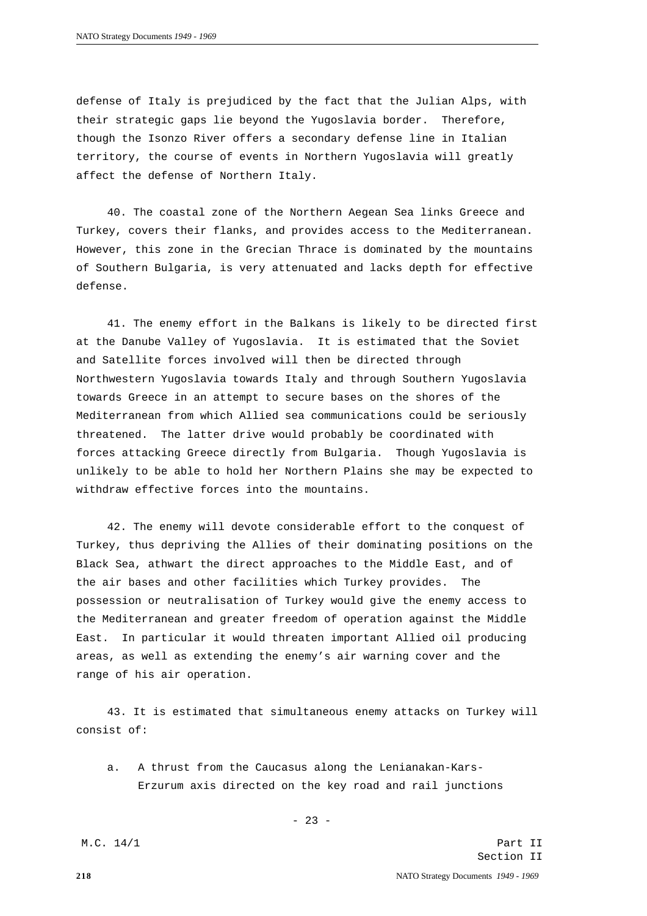defense of Italy is prejudiced by the fact that the Julian Alps, with their strategic gaps lie beyond the Yugoslavia border. Therefore, though the Isonzo River offers a secondary defense line in Italian territory, the course of events in Northern Yugoslavia will greatly affect the defense of Northern Italy.

40. The coastal zone of the Northern Aegean Sea links Greece and Turkey, covers their flanks, and provides access to the Mediterranean. However, this zone in the Grecian Thrace is dominated by the mountains of Southern Bulgaria, is very attenuated and lacks depth for effective defense.

41. The enemy effort in the Balkans is likely to be directed first at the Danube Valley of Yugoslavia. It is estimated that the Soviet and Satellite forces involved will then be directed through Northwestern Yugoslavia towards Italy and through Southern Yugoslavia towards Greece in an attempt to secure bases on the shores of the Mediterranean from which Allied sea communications could be seriously threatened. The latter drive would probably be coordinated with forces attacking Greece directly from Bulgaria. Though Yugoslavia is unlikely to be able to hold her Northern Plains she may be expected to withdraw effective forces into the mountains.

42. The enemy will devote considerable effort to the conquest of Turkey, thus depriving the Allies of their dominating positions on the Black Sea, athwart the direct approaches to the Middle East, and of the air bases and other facilities which Turkey provides. The possession or neutralisation of Turkey would give the enemy access to the Mediterranean and greater freedom of operation against the Middle East. In particular it would threaten important Allied oil producing areas, as well as extending the enemy's air warning cover and the range of his air operation.

43. It is estimated that simultaneous enemy attacks on Turkey will consist of:

a. A thrust from the Caucasus along the Lenianakan-Kars-Erzurum axis directed on the key road and rail junctions

M.C. 14/1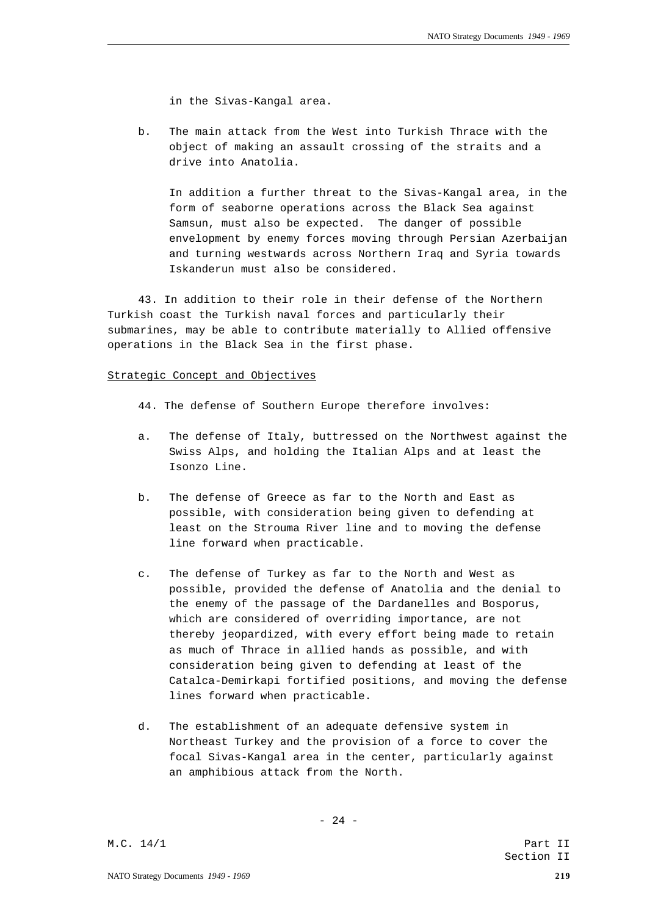in the Sivas-Kangal area.

b. The main attack from the West into Turkish Thrace with the object of making an assault crossing of the straits and a drive into Anatolia.

In addition a further threat to the Sivas-Kangal area, in the form of seaborne operations across the Black Sea against Samsun, must also be expected. The danger of possible envelopment by enemy forces moving through Persian Azerbaijan and turning westwards across Northern Iraq and Syria towards Iskanderun must also be considered.

43. In addition to their role in their defense of the Northern Turkish coast the Turkish naval forces and particularly their submarines, may be able to contribute materially to Allied offensive operations in the Black Sea in the first phase.

# Strategic Concept and Objectives

- 44. The defense of Southern Europe therefore involves:
- a. The defense of Italy, buttressed on the Northwest against the Swiss Alps, and holding the Italian Alps and at least the Isonzo Line.
- b. The defense of Greece as far to the North and East as possible, with consideration being given to defending at least on the Strouma River line and to moving the defense line forward when practicable.
- c. The defense of Turkey as far to the North and West as possible, provided the defense of Anatolia and the denial to the enemy of the passage of the Dardanelles and Bosporus, which are considered of overriding importance, are not thereby jeopardized, with every effort being made to retain as much of Thrace in allied hands as possible, and with consideration being given to defending at least of the Catalca-Demirkapi fortified positions, and moving the defense lines forward when practicable.
- d. The establishment of an adequate defensive system in Northeast Turkey and the provision of a force to cover the focal Sivas-Kangal area in the center, particularly against an amphibious attack from the North.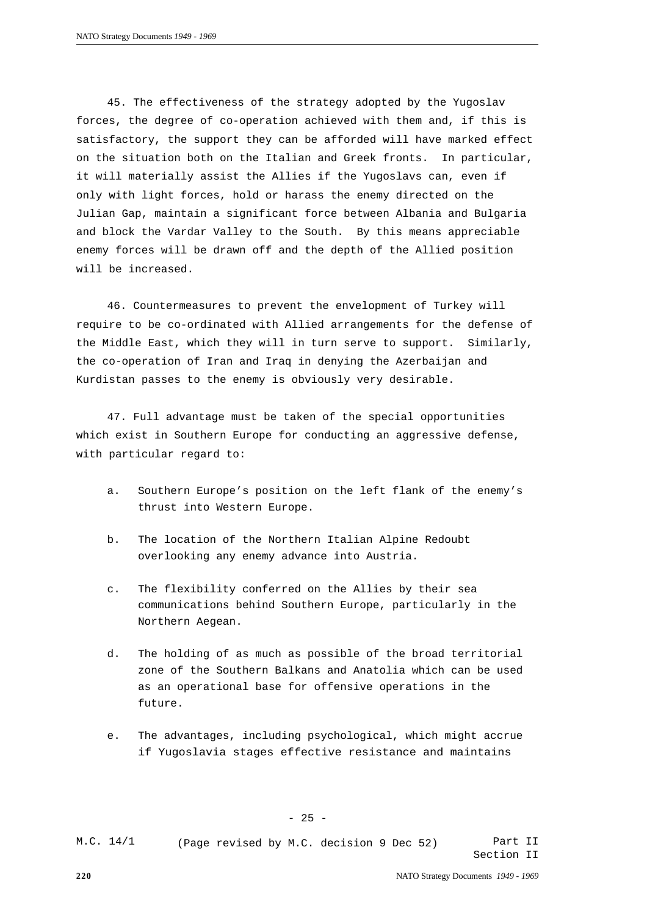45. The effectiveness of the strategy adopted by the Yugoslav forces, the degree of co-operation achieved with them and, if this is satisfactory, the support they can be afforded will have marked effect on the situation both on the Italian and Greek fronts. In particular, it will materially assist the Allies if the Yugoslavs can, even if only with light forces, hold or harass the enemy directed on the Julian Gap, maintain a significant force between Albania and Bulgaria and block the Vardar Valley to the South. By this means appreciable enemy forces will be drawn off and the depth of the Allied position will be increased.

46. Countermeasures to prevent the envelopment of Turkey will require to be co-ordinated with Allied arrangements for the defense of the Middle East, which they will in turn serve to support. Similarly, the co-operation of Iran and Iraq in denying the Azerbaijan and Kurdistan passes to the enemy is obviously very desirable.

47. Full advantage must be taken of the special opportunities which exist in Southern Europe for conducting an aggressive defense, with particular regard to:

- a. Southern Europe's position on the left flank of the enemy's thrust into Western Europe.
- b. The location of the Northern Italian Alpine Redoubt overlooking any enemy advance into Austria.
- c. The flexibility conferred on the Allies by their sea communications behind Southern Europe, particularly in the Northern Aegean.
- d. The holding of as much as possible of the broad territorial zone of the Southern Balkans and Anatolia which can be used as an operational base for offensive operations in the future.
- e. The advantages, including psychological, which might accrue if Yugoslavia stages effective resistance and maintains

Part II Section II M.C. 14/1 (Page revised by M.C. decision 9 Dec 52)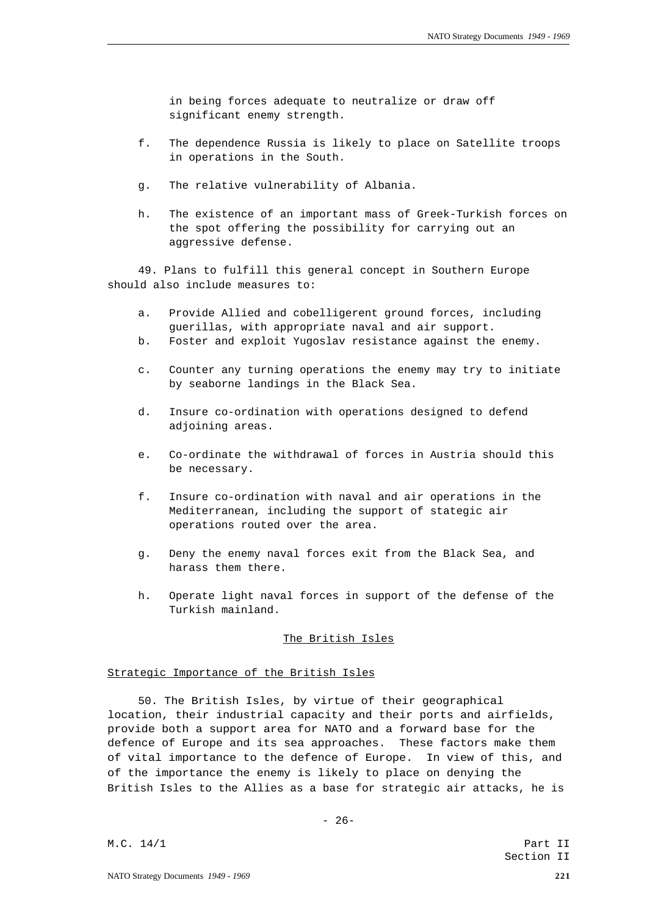in being forces adequate to neutralize or draw off significant enemy strength.

- f. The dependence Russia is likely to place on Satellite troops in operations in the South.
- g. The relative vulnerability of Albania.
- h. The existence of an important mass of Greek-Turkish forces on the spot offering the possibility for carrying out an aggressive defense.

49. Plans to fulfill this general concept in Southern Europe should also include measures to:

- a. Provide Allied and cobelligerent ground forces, including guerillas, with appropriate naval and air support.
- b. Foster and exploit Yugoslav resistance against the enemy.
- c. Counter any turning operations the enemy may try to initiate by seaborne landings in the Black Sea.
- d. Insure co-ordination with operations designed to defend adjoining areas.
- e. Co-ordinate the withdrawal of forces in Austria should this be necessary.
- f. Insure co-ordination with naval and air operations in the Mediterranean, including the support of stategic air operations routed over the area.
- g. Deny the enemy naval forces exit from the Black Sea, and harass them there.
- h. Operate light naval forces in support of the defense of the Turkish mainland.

# The British Isles

# Strategic Importance of the British Isles

50. The British Isles, by virtue of their geographical location, their industrial capacity and their ports and airfields, provide both a support area for NATO and a forward base for the defence of Europe and its sea approaches. These factors make them of vital importance to the defence of Europe. In view of this, and of the importance the enemy is likely to place on denying the British Isles to the Allies as a base for strategic air attacks, he is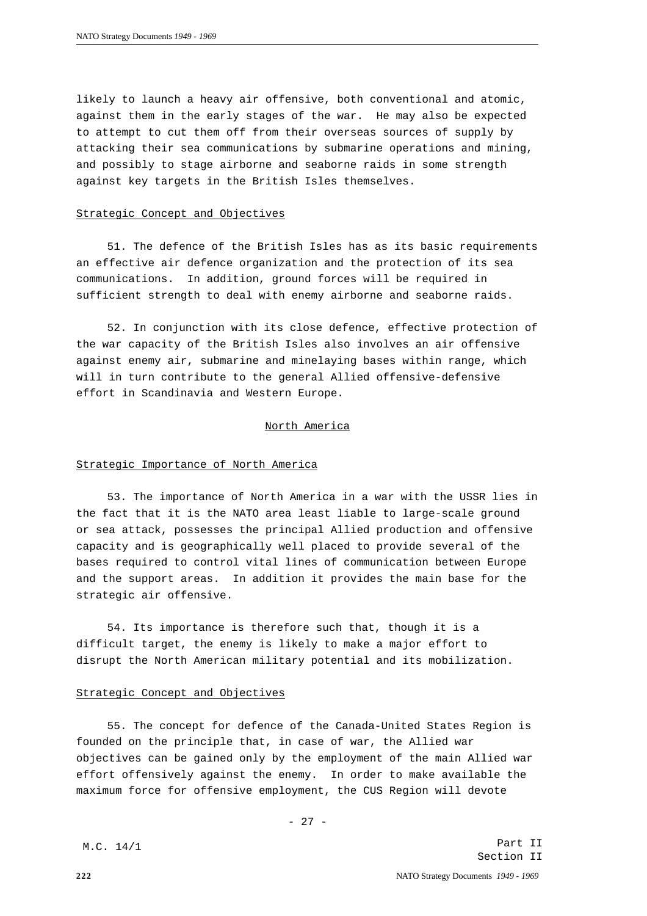likely to launch a heavy air offensive, both conventional and atomic, against them in the early stages of the war. He may also be expected to attempt to cut them off from their overseas sources of supply by attacking their sea communications by submarine operations and mining, and possibly to stage airborne and seaborne raids in some strength against key targets in the British Isles themselves.

# Strategic Concept and Objectives

51. The defence of the British Isles has as its basic requirements an effective air defence organization and the protection of its sea communications. In addition, ground forces will be required in sufficient strength to deal with enemy airborne and seaborne raids.

52. In conjunction with its close defence, effective protection of the war capacity of the British Isles also involves an air offensive against enemy air, submarine and minelaying bases within range, which will in turn contribute to the general Allied offensive-defensive effort in Scandinavia and Western Europe.

#### North America

#### Strategic Importance of North America

53. The importance of North America in a war with the USSR lies in the fact that it is the NATO area least liable to large-scale ground or sea attack, possesses the principal Allied production and offensive capacity and is geographically well placed to provide several of the bases required to control vital lines of communication between Europe and the support areas. In addition it provides the main base for the strategic air offensive.

54. Its importance is therefore such that, though it is a difficult target, the enemy is likely to make a major effort to disrupt the North American military potential and its mobilization.

#### Strategic Concept and Objectives

55. The concept for defence of the Canada-United States Region is founded on the principle that, in case of war, the Allied war objectives can be gained only by the employment of the main Allied war effort offensively against the enemy. In order to make available the maximum force for offensive employment, the CUS Region will devote

M.C. 14/1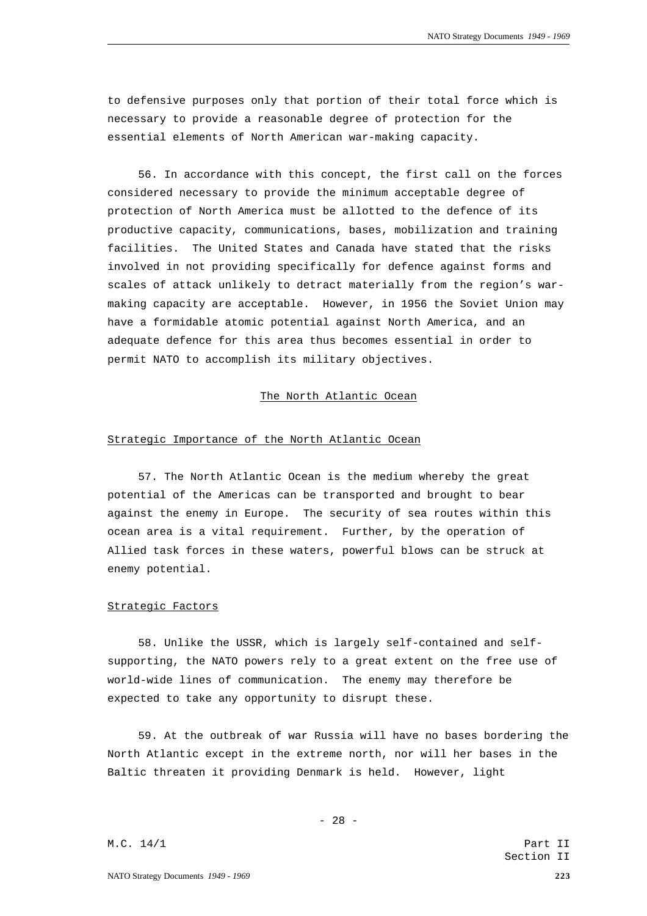to defensive purposes only that portion of their total force which is necessary to provide a reasonable degree of protection for the essential elements of North American war-making capacity.

56. In accordance with this concept, the first call on the forces considered necessary to provide the minimum acceptable degree of protection of North America must be allotted to the defence of its productive capacity, communications, bases, mobilization and training facilities. The United States and Canada have stated that the risks involved in not providing specifically for defence against forms and scales of attack unlikely to detract materially from the region's warmaking capacity are acceptable. However, in 1956 the Soviet Union may have a formidable atomic potential against North America, and an adequate defence for this area thus becomes essential in order to permit NATO to accomplish its military objectives.

#### The North Atlantic Ocean

### Strategic Importance of the North Atlantic Ocean

57. The North Atlantic Ocean is the medium whereby the great potential of the Americas can be transported and brought to bear against the enemy in Europe. The security of sea routes within this ocean area is a vital requirement. Further, by the operation of Allied task forces in these waters, powerful blows can be struck at enemy potential.

### Strategic Factors

58. Unlike the USSR, which is largely self-contained and selfsupporting, the NATO powers rely to a great extent on the free use of world-wide lines of communication. The enemy may therefore be expected to take any opportunity to disrupt these.

59. At the outbreak of war Russia will have no bases bordering the North Atlantic except in the extreme north, nor will her bases in the Baltic threaten it providing Denmark is held. However, light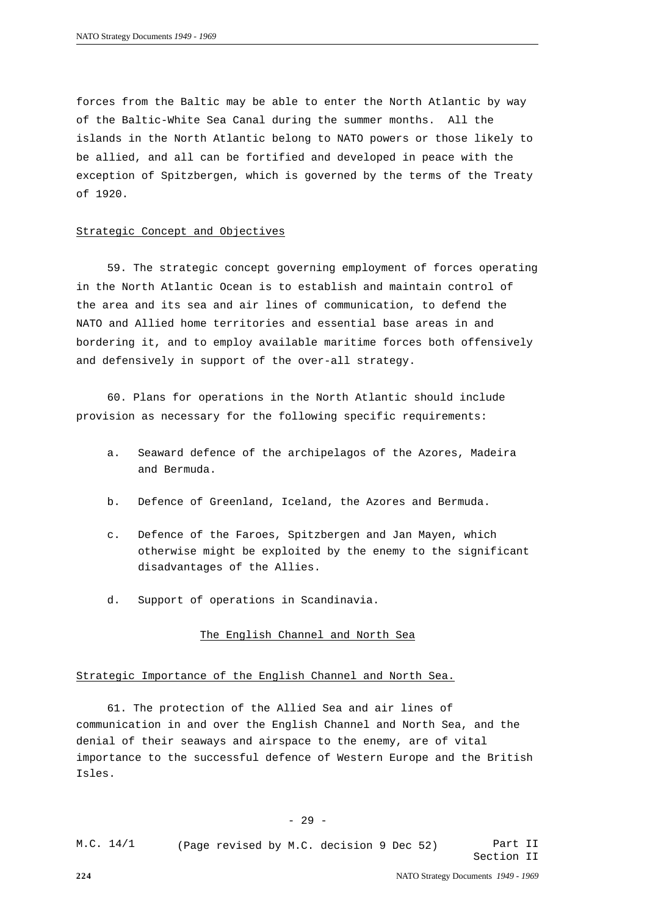forces from the Baltic may be able to enter the North Atlantic by way of the Baltic-White Sea Canal during the summer months. All the islands in the North Atlantic belong to NATO powers or those likely to be allied, and all can be fortified and developed in peace with the exception of Spitzbergen, which is governed by the terms of the Treaty of 1920.

# Strategic Concept and Objectives

59. The strategic concept governing employment of forces operating in the North Atlantic Ocean is to establish and maintain control of the area and its sea and air lines of communication, to defend the NATO and Allied home territories and essential base areas in and bordering it, and to employ available maritime forces both offensively and defensively in support of the over-all strategy.

60. Plans for operations in the North Atlantic should include provision as necessary for the following specific requirements:

- a. Seaward defence of the archipelagos of the Azores, Madeira and Bermuda.
- b. Defence of Greenland, Iceland, the Azores and Bermuda.
- c. Defence of the Faroes, Spitzbergen and Jan Mayen, which otherwise might be exploited by the enemy to the significant disadvantages of the Allies.
- d. Support of operations in Scandinavia.

# The English Channel and North Sea

# Strategic Importance of the English Channel and North Sea.

61. The protection of the Allied Sea and air lines of communication in and over the English Channel and North Sea, and the denial of their seaways and airspace to the enemy, are of vital importance to the successful defence of Western Europe and the British Isles.

- 29 -

Part II Section II M.C. 14/1 (Page revised by M.C. decision 9 Dec 52)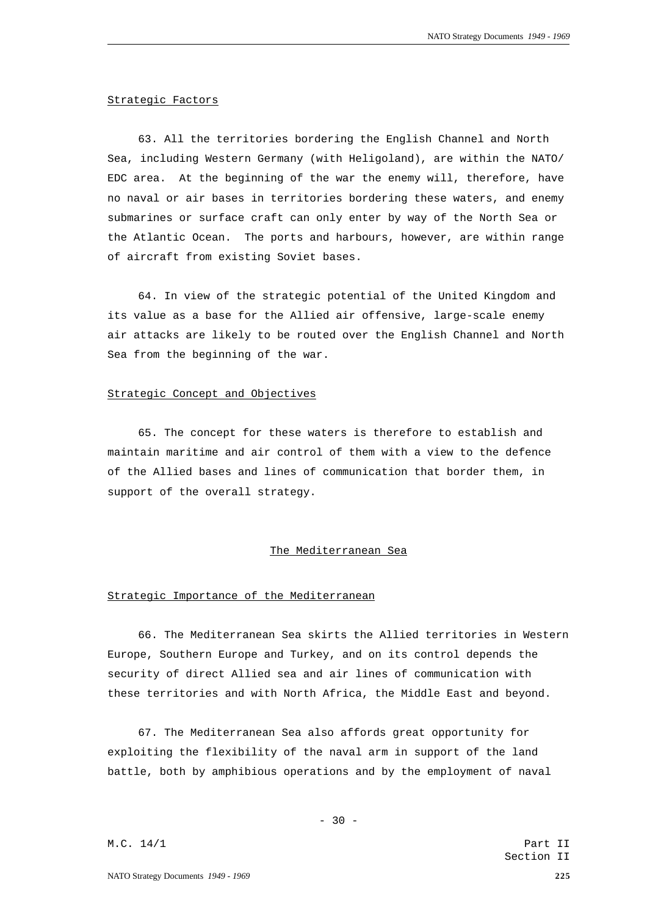### Strategic Factors

63. All the territories bordering the English Channel and North Sea, including Western Germany (with Heligoland), are within the NATO/ EDC area. At the beginning of the war the enemy will, therefore, have no naval or air bases in territories bordering these waters, and enemy submarines or surface craft can only enter by way of the North Sea or the Atlantic Ocean. The ports and harbours, however, are within range of aircraft from existing Soviet bases.

64. In view of the strategic potential of the United Kingdom and its value as a base for the Allied air offensive, large-scale enemy air attacks are likely to be routed over the English Channel and North Sea from the beginning of the war.

#### Strategic Concept and Objectives

65. The concept for these waters is therefore to establish and maintain maritime and air control of them with a view to the defence of the Allied bases and lines of communication that border them, in support of the overall strategy.

#### The Mediterranean Sea

# Strategic Importance of the Mediterranean

66. The Mediterranean Sea skirts the Allied territories in Western Europe, Southern Europe and Turkey, and on its control depends the security of direct Allied sea and air lines of communication with these territories and with North Africa, the Middle East and beyond.

67. The Mediterranean Sea also affords great opportunity for exploiting the flexibility of the naval arm in support of the land battle, both by amphibious operations and by the employment of naval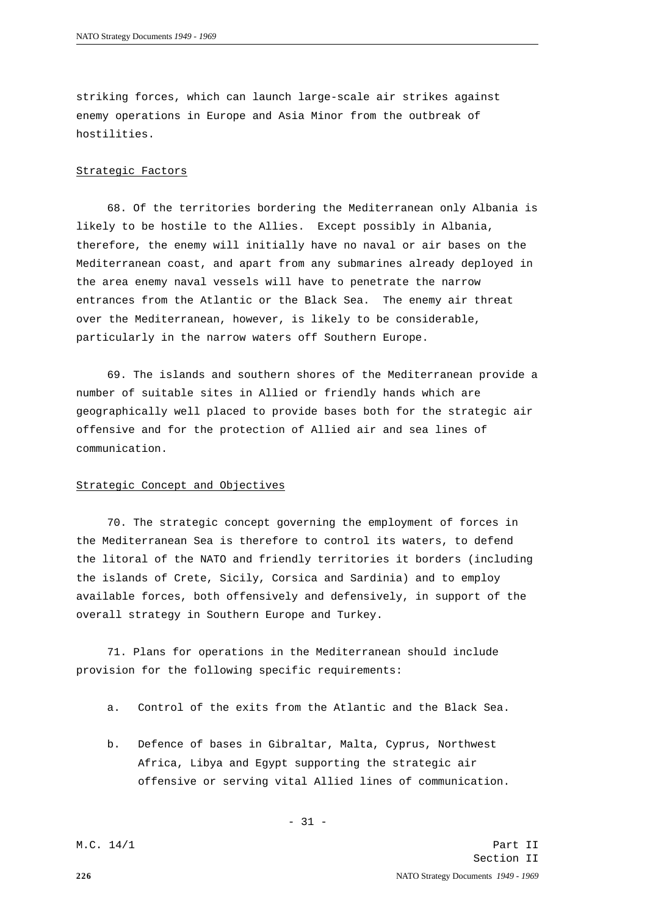striking forces, which can launch large-scale air strikes against enemy operations in Europe and Asia Minor from the outbreak of hostilities.

## Strategic Factors

68. Of the territories bordering the Mediterranean only Albania is likely to be hostile to the Allies. Except possibly in Albania, therefore, the enemy will initially have no naval or air bases on the Mediterranean coast, and apart from any submarines already deployed in the area enemy naval vessels will have to penetrate the narrow entrances from the Atlantic or the Black Sea. The enemy air threat over the Mediterranean, however, is likely to be considerable, particularly in the narrow waters off Southern Europe.

69. The islands and southern shores of the Mediterranean provide a number of suitable sites in Allied or friendly hands which are geographically well placed to provide bases both for the strategic air offensive and for the protection of Allied air and sea lines of communication.

#### Strategic Concept and Objectives

70. The strategic concept governing the employment of forces in the Mediterranean Sea is therefore to control its waters, to defend the litoral of the NATO and friendly territories it borders (including the islands of Crete, Sicily, Corsica and Sardinia) and to employ available forces, both offensively and defensively, in support of the overall strategy in Southern Europe and Turkey.

71. Plans for operations in the Mediterranean should include provision for the following specific requirements:

- a. Control of the exits from the Atlantic and the Black Sea.
- b. Defence of bases in Gibraltar, Malta, Cyprus, Northwest Africa, Libya and Egypt supporting the strategic air offensive or serving vital Allied lines of communication.

**226** NATO Strategy Documents *1949 - 1969* Part II Section II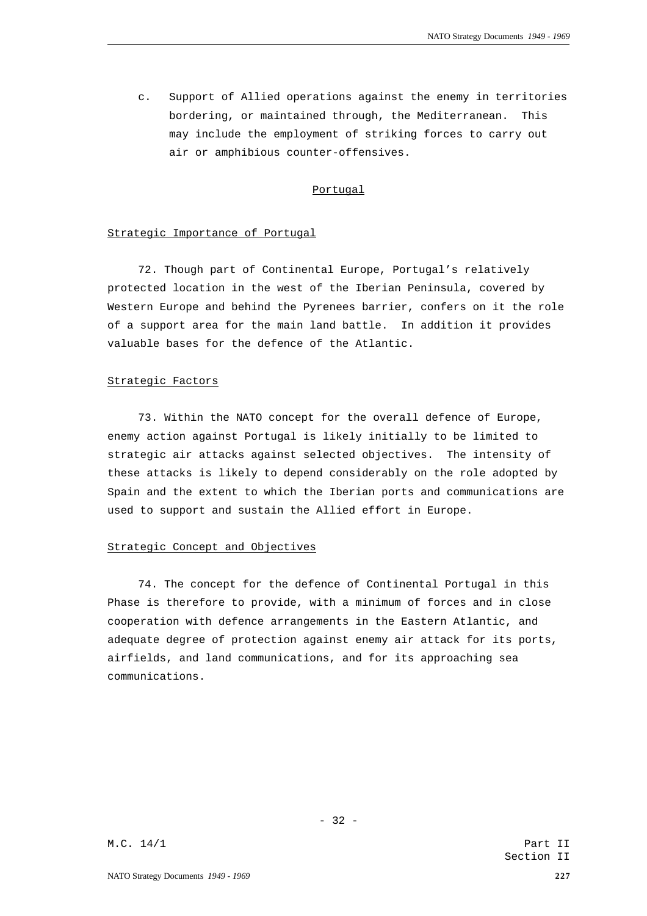c. Support of Allied operations against the enemy in territories bordering, or maintained through, the Mediterranean. This may include the employment of striking forces to carry out air or amphibious counter-offensives.

# Portugal

#### Strategic Importance of Portugal

72. Though part of Continental Europe, Portugal's relatively protected location in the west of the Iberian Peninsula, covered by Western Europe and behind the Pyrenees barrier, confers on it the role of a support area for the main land battle. In addition it provides valuable bases for the defence of the Atlantic.

#### Strategic Factors

73. Within the NATO concept for the overall defence of Europe, enemy action against Portugal is likely initially to be limited to strategic air attacks against selected objectives. The intensity of these attacks is likely to depend considerably on the role adopted by Spain and the extent to which the Iberian ports and communications are used to support and sustain the Allied effort in Europe.

# Strategic Concept and Objectives

74. The concept for the defence of Continental Portugal in this Phase is therefore to provide, with a minimum of forces and in close cooperation with defence arrangements in the Eastern Atlantic, and adequate degree of protection against enemy air attack for its ports, airfields, and land communications, and for its approaching sea communications.

- 32 -